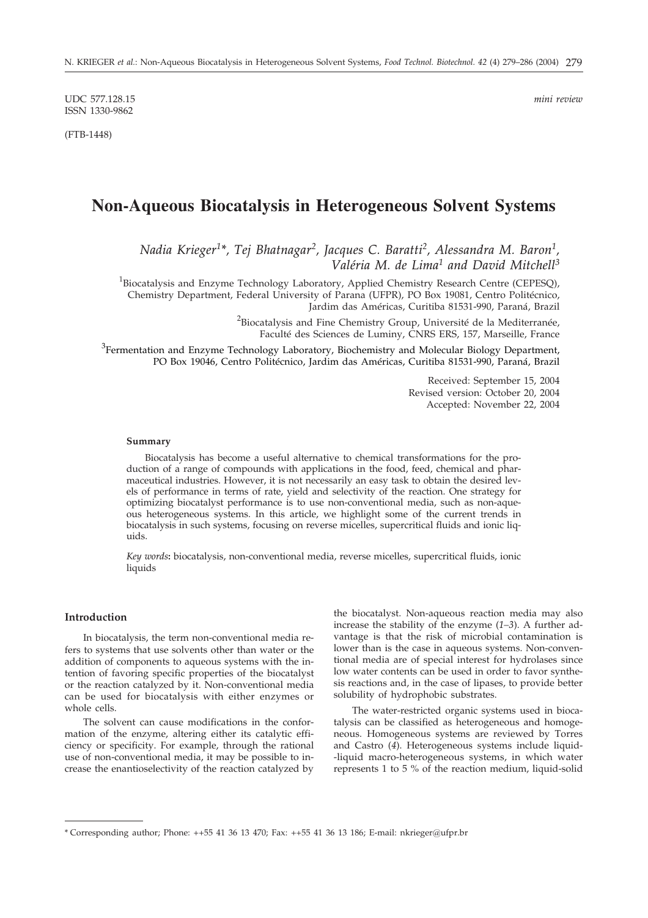UDC 577.128.15 *mini review* ISSN 1330-9862

(FTB-1448)

# **Non-Aqueous Biocatalysis in Heterogeneous Solvent Systems**

*Nadia Krieger1\*, Tej Bhatnagar2, Jacques C. Baratti2, Alessandra M. Baron1, Valéria M. de Lima1 and David Mitchell3*

<sup>1</sup>Biocatalysis and Enzyme Technology Laboratory, Applied Chemistry Research Centre (CEPESQ), Chemistry Department, Federal University of Parana (UFPR), PO Box 19081, Centro Politécnico, Jardim das Américas, Curitiba 81531-990, Paraná, Brazil

> <sup>2</sup>Biocatalysis and Fine Chemistry Group, Université de la Mediterranée, Faculté des Sciences de Luminy, CNRS ERS, 157, Marseille, France

 $3$ Fermentation and Enzyme Technology Laboratory, Biochemistry and Molecular Biology Department, PO Box 19046, Centro Politécnico, Jardim das Américas, Curitiba 81531-990, Paraná, Brazil

> Received: September 15, 2004 Revised version: October 20, 2004 Accepted: November 22, 2004

# **Summary**

Biocatalysis has become a useful alternative to chemical transformations for the production of a range of compounds with applications in the food, feed, chemical and pharmaceutical industries. However, it is not necessarily an easy task to obtain the desired levels of performance in terms of rate, yield and selectivity of the reaction. One strategy for optimizing biocatalyst performance is to use non-conventional media, such as non-aqueous heterogeneous systems. In this article, we highlight some of the current trends in biocatalysis in such systems, focusing on reverse micelles, supercritical fluids and ionic liquids.

*Key words***:** biocatalysis, non-conventional media, reverse micelles, supercritical fluids, ionic liquids

## **Introduction**

In biocatalysis, the term non-conventional media refers to systems that use solvents other than water or the addition of components to aqueous systems with the intention of favoring specific properties of the biocatalyst or the reaction catalyzed by it. Non-conventional media can be used for biocatalysis with either enzymes or whole cells.

The solvent can cause modifications in the conformation of the enzyme, altering either its catalytic efficiency or specificity. For example, through the rational use of non-conventional media, it may be possible to increase the enantioselectivity of the reaction catalyzed by the biocatalyst. Non-aqueous reaction media may also increase the stability of the enzyme (*1–3*). A further advantage is that the risk of microbial contamination is lower than is the case in aqueous systems. Non-conventional media are of special interest for hydrolases since low water contents can be used in order to favor synthesis reactions and, in the case of lipases, to provide better solubility of hydrophobic substrates.

The water-restricted organic systems used in biocatalysis can be classified as heterogeneous and homogeneous. Homogeneous systems are reviewed by Torres and Castro (*4*). Heterogeneous systems include liquid- -liquid macro-heterogeneous systems, in which water represents 1 to 5 % of the reaction medium, liquid-solid

<sup>\*</sup> Corresponding author; Phone: ++55 41 36 13 470; Fax: ++55 41 36 13 186; E-mail: nkrieger@ufpr.br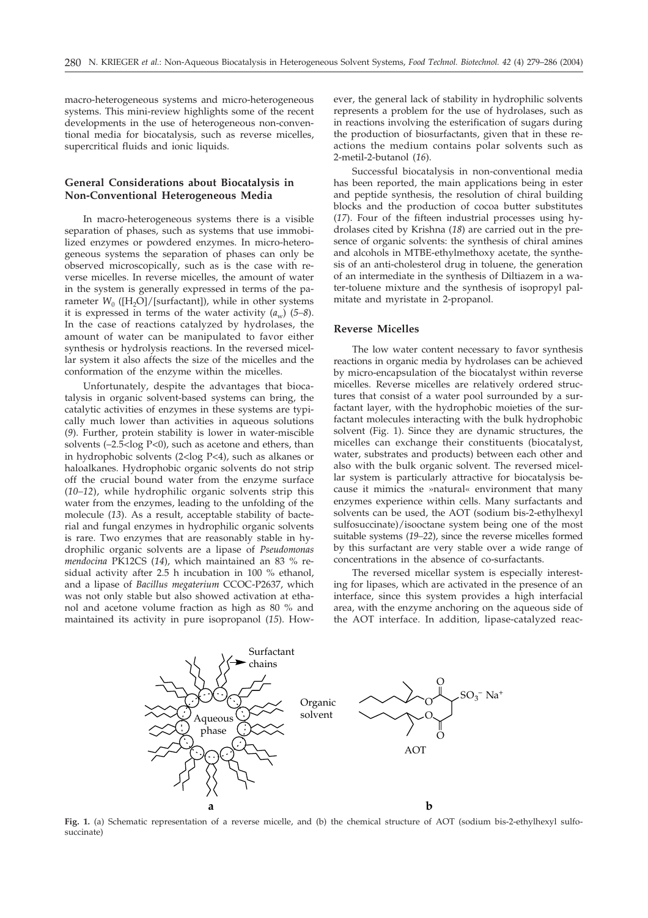macro-heterogeneous systems and micro-heterogeneous systems. This mini-review highlights some of the recent developments in the use of heterogeneous non-conventional media for biocatalysis, such as reverse micelles, supercritical fluids and ionic liquids.

# **General Considerations about Biocatalysis in Non-Conventional Heterogeneous Media**

In macro-heterogeneous systems there is a visible separation of phases, such as systems that use immobilized enzymes or powdered enzymes. In micro-heterogeneous systems the separation of phases can only be observed microscopically, such as is the case with reverse micelles. In reverse micelles, the amount of water in the system is generally expressed in terms of the parameter  $W_0$  ([H<sub>2</sub>O]/[surfactant]), while in other systems it is expressed in terms of the water activity  $(a_w)$  (5–8). In the case of reactions catalyzed by hydrolases, the amount of water can be manipulated to favor either synthesis or hydrolysis reactions. In the reversed micellar system it also affects the size of the micelles and the conformation of the enzyme within the micelles.

Unfortunately, despite the advantages that biocatalysis in organic solvent-based systems can bring, the catalytic activities of enzymes in these systems are typically much lower than activities in aqueous solutions (*9*). Further, protein stability is lower in water-miscible solvents (-2.5<log P<0), such as acetone and ethers, than in hydrophobic solvents (2<log P<4), such as alkanes or haloalkanes. Hydrophobic organic solvents do not strip off the crucial bound water from the enzyme surface (*10–12*), while hydrophilic organic solvents strip this water from the enzymes, leading to the unfolding of the molecule (*13*). As a result, acceptable stability of bacterial and fungal enzymes in hydrophilic organic solvents is rare. Two enzymes that are reasonably stable in hydrophilic organic solvents are a lipase of *Pseudomonas mendocina* PK12CS (*14*), which maintained an 83 % residual activity after 2.5 h incubation in 100 % ethanol, and a lipase of *Bacillus megaterium* CCOC-P2637, which was not only stable but also showed activation at ethanol and acetone volume fraction as high as 80 % and maintained its activity in pure isopropanol (*15*). However, the general lack of stability in hydrophilic solvents represents a problem for the use of hydrolases, such as in reactions involving the esterification of sugars during the production of biosurfactants, given that in these reactions the medium contains polar solvents such as 2-metil-2-butanol (*16*).

Successful biocatalysis in non-conventional media has been reported, the main applications being in ester and peptide synthesis, the resolution of chiral building blocks and the production of cocoa butter substitutes (*17*). Four of the fifteen industrial processes using hydrolases cited by Krishna (*18*) are carried out in the presence of organic solvents: the synthesis of chiral amines and alcohols in MTBE-ethylmethoxy acetate, the synthesis of an anti-cholesterol drug in toluene, the generation of an intermediate in the synthesis of Diltiazem in a water-toluene mixture and the synthesis of isopropyl palmitate and myristate in 2-propanol.

## **Reverse Micelles**

The low water content necessary to favor synthesis reactions in organic media by hydrolases can be achieved by micro-encapsulation of the biocatalyst within reverse micelles. Reverse micelles are relatively ordered structures that consist of a water pool surrounded by a surfactant layer, with the hydrophobic moieties of the surfactant molecules interacting with the bulk hydrophobic solvent (Fig. 1). Since they are dynamic structures, the micelles can exchange their constituents (biocatalyst, water, substrates and products) between each other and also with the bulk organic solvent. The reversed micellar system is particularly attractive for biocatalysis because it mimics the »natural« environment that many enzymes experience within cells. Many surfactants and solvents can be used, the AOT (sodium bis-2-ethylhexyl sulfosuccinate)/isooctane system being one of the most suitable systems (*19–22*), since the reverse micelles formed by this surfactant are very stable over a wide range of concentrations in the absence of co-surfactants.

The reversed micellar system is especially interesting for lipases, which are activated in the presence of an interface, since this system provides a high interfacial area, with the enzyme anchoring on the aqueous side of the AOT interface. In addition, lipase-catalyzed reac-



**Fig. 1.** (a) Schematic representation of a reverse micelle, and (b) the chemical structure of AOT (sodium bis-2-ethylhexyl sulfosuccinate)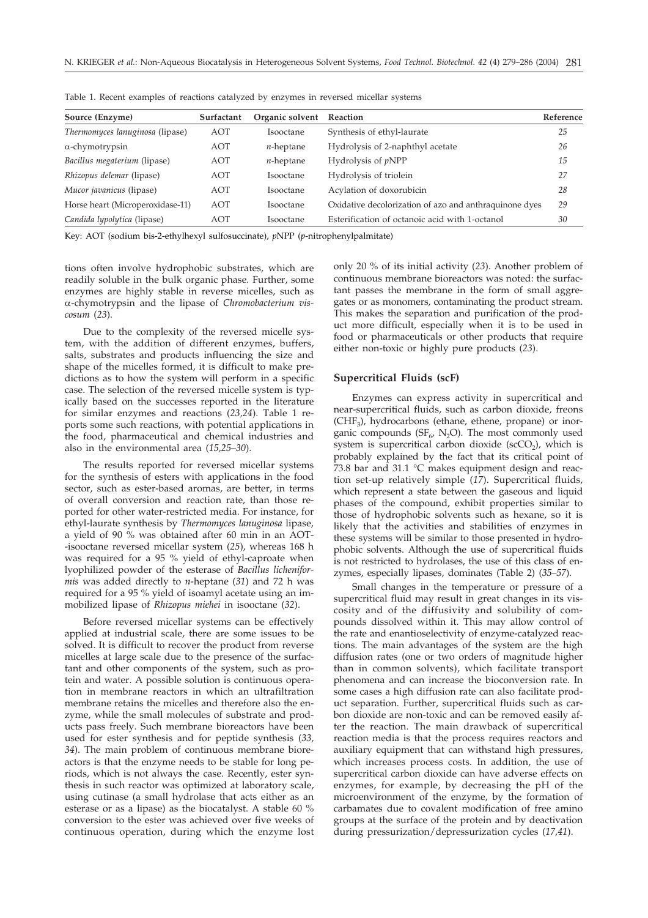| Source (Enzyme)                  | Surfactant | Organic solvent | Reaction                                               | Reference |
|----------------------------------|------------|-----------------|--------------------------------------------------------|-----------|
| Thermomyces lanuginosa (lipase)  | AOT        | Isooctane       | Synthesis of ethyl-laurate                             | 25        |
| $\alpha$ -chymotrypsin           | AOT        | $n$ -heptane    | Hydrolysis of 2-naphthyl acetate                       | 26        |
| Bacillus megaterium (lipase)     | AOT        | $n$ -heptane    | Hydrolysis of <i>pNPP</i>                              | 15        |
| Rhizopus delemar (lipase)        | AOT        | Isooctane       | Hydrolysis of triolein                                 | 27        |
| Mucor javanicus (lipase)         | AOT        | Isooctane       | Acylation of doxorubicin                               | 28        |
| Horse heart (Microperoxidase-11) | AOT        | Isooctane       | Oxidative decolorization of azo and anthraquinone dyes | 29        |
| Candida lypolytica (lipase)      | AOT        | Isooctane       | Esterification of octanoic acid with 1-octanol         | 30        |

Table 1. Recent examples of reactions catalyzed by enzymes in reversed micellar systems

Key: AOT (sodium bis-2-ethylhexyl sulfosuccinate), *p*NPP (*p*-nitrophenylpalmitate)

tions often involve hydrophobic substrates, which are readily soluble in the bulk organic phase. Further, some enzymes are highly stable in reverse micelles, such as -chymotrypsin and the lipase of *Chromobacterium viscosum* (*23*).

Due to the complexity of the reversed micelle system, with the addition of different enzymes, buffers, salts, substrates and products influencing the size and shape of the micelles formed, it is difficult to make predictions as to how the system will perform in a specific case. The selection of the reversed micelle system is typically based on the successes reported in the literature for similar enzymes and reactions (*23,24*). Table 1 reports some such reactions, with potential applications in the food, pharmaceutical and chemical industries and also in the environmental area (*15,25–30*).

The results reported for reversed micellar systems for the synthesis of esters with applications in the food sector, such as ester-based aromas, are better, in terms of overall conversion and reaction rate, than those reported for other water-restricted media. For instance, for ethyl-laurate synthesis by *Thermomyces lanuginosa* lipase, a yield of 90 % was obtained after 60 min in an AOT- -isooctane reversed micellar system (*25*), whereas 168 h was required for a 95 % yield of ethyl-caproate when lyophilized powder of the esterase of *Bacillus licheniformis* was added directly to *n*-heptane (*31*) and 72 h was required for a 95 % yield of isoamyl acetate using an immobilized lipase of *Rhizopus miehei* in isooctane (*32*).

Before reversed micellar systems can be effectively applied at industrial scale, there are some issues to be solved. It is difficult to recover the product from reverse micelles at large scale due to the presence of the surfactant and other components of the system, such as protein and water. A possible solution is continuous operation in membrane reactors in which an ultrafiltration membrane retains the micelles and therefore also the enzyme, while the small molecules of substrate and products pass freely. Such membrane bioreactors have been used for ester synthesis and for peptide synthesis (*33, 34*). The main problem of continuous membrane bioreactors is that the enzyme needs to be stable for long periods, which is not always the case. Recently, ester synthesis in such reactor was optimized at laboratory scale, using cutinase (a small hydrolase that acts either as an esterase or as a lipase) as the biocatalyst. A stable 60 % conversion to the ester was achieved over five weeks of continuous operation, during which the enzyme lost only 20 % of its initial activity (*23*). Another problem of continuous membrane bioreactors was noted: the surfactant passes the membrane in the form of small aggregates or as monomers, contaminating the product stream. This makes the separation and purification of the product more difficult, especially when it is to be used in food or pharmaceuticals or other products that require either non-toxic or highly pure products (*23*).

#### **Supercritical Fluids (scF)**

Enzymes can express activity in supercritical and near-supercritical fluids, such as carbon dioxide, freons (CHF3), hydrocarbons (ethane, ethene, propane) or inorganic compounds ( $SF_6$ , N<sub>2</sub>O). The most commonly used system is supercritical carbon dioxide ( $\text{scCO}_2$ ), which is probably explained by the fact that its critical point of 73.8 bar and 31.1 °C makes equipment design and reaction set-up relatively simple (*17*). Supercritical fluids, which represent a state between the gaseous and liquid phases of the compound, exhibit properties similar to those of hydrophobic solvents such as hexane, so it is likely that the activities and stabilities of enzymes in these systems will be similar to those presented in hydrophobic solvents. Although the use of supercritical fluids is not restricted to hydrolases, the use of this class of enzymes, especially lipases, dominates (Table 2) (*35–57*).

Small changes in the temperature or pressure of a supercritical fluid may result in great changes in its viscosity and of the diffusivity and solubility of compounds dissolved within it. This may allow control of the rate and enantioselectivity of enzyme-catalyzed reactions. The main advantages of the system are the high diffusion rates (one or two orders of magnitude higher than in common solvents), which facilitate transport phenomena and can increase the bioconversion rate. In some cases a high diffusion rate can also facilitate product separation. Further, supercritical fluids such as carbon dioxide are non-toxic and can be removed easily after the reaction. The main drawback of supercritical reaction media is that the process requires reactors and auxiliary equipment that can withstand high pressures, which increases process costs. In addition, the use of supercritical carbon dioxide can have adverse effects on enzymes, for example, by decreasing the pH of the microenvironment of the enzyme, by the formation of carbamates due to covalent modification of free amino groups at the surface of the protein and by deactivation during pressurization/depressurization cycles (*17,41*).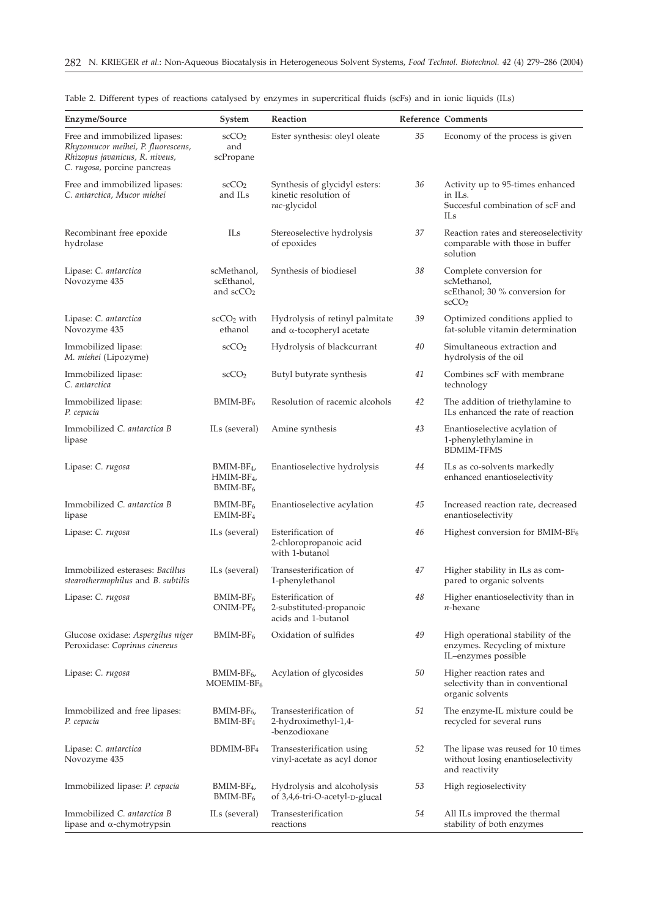| Enzyme/Source                                                                                                                        | System                                             | Reaction                                                               |        | Reference Comments                                                                            |
|--------------------------------------------------------------------------------------------------------------------------------------|----------------------------------------------------|------------------------------------------------------------------------|--------|-----------------------------------------------------------------------------------------------|
| Free and immobilized lipases:<br>Rhyzomucor meihei, P. fluorescens,<br>Rhizopus javanicus, R. niveus,<br>C. rugosa, porcine pancreas | scCO <sub>2</sub><br>and<br>scPropane              | Ester synthesis: oleyl oleate                                          | 35     | Economy of the process is given                                                               |
| Free and immobilized lipases:<br>C. antarctica, Mucor miehei                                                                         | scCO <sub>2</sub><br>and ILs                       | Synthesis of glycidyl esters:<br>kinetic resolution of<br>rac-glycidol | 36     | Activity up to 95-times enhanced<br>in ILs.<br>Succesful combination of scF and<br>ILs        |
| Recombinant free epoxide<br>hydrolase                                                                                                | ILs                                                | Stereoselective hydrolysis<br>of epoxides                              | 37     | Reaction rates and stereoselectivity<br>comparable with those in buffer<br>solution           |
| Lipase: C. antarctica<br>Novozyme 435                                                                                                | scMethanol,<br>scEthanol,<br>and $scCO2$           | Synthesis of biodiesel                                                 | 38     | Complete conversion for<br>scMethanol,<br>scEthanol; 30 % conversion for<br>scCO <sub>2</sub> |
| Lipase: C. antarctica<br>Novozyme 435                                                                                                | $scCO2$ with<br>ethanol                            | Hydrolysis of retinyl palmitate<br>and $\alpha$ -tocopheryl acetate    | 39     | Optimized conditions applied to<br>fat-soluble vitamin determination                          |
| Immobilized lipase:<br>M. miehei (Lipozyme)                                                                                          | scCO <sub>2</sub>                                  | Hydrolysis of blackcurrant                                             | 40     | Simultaneous extraction and<br>hydrolysis of the oil                                          |
| Immobilized lipase:<br>C. antarctica                                                                                                 | scCO <sub>2</sub>                                  | Butyl butyrate synthesis                                               | 41     | Combines scF with membrane<br>technology                                                      |
| Immobilized lipase:<br>P. cepacia                                                                                                    | $BMIM-BF6$                                         | Resolution of racemic alcohols                                         | 42     | The addition of triethylamine to<br>ILs enhanced the rate of reaction                         |
| Immobilized C. antarctica B<br>lipase                                                                                                | ILs (several)                                      | Amine synthesis                                                        | 43     | Enantioselective acylation of<br>1-phenylethylamine in<br><b>BDMIM-TFMS</b>                   |
| Lipase: C. rugosa                                                                                                                    | BMIM-BF <sub>4</sub> ,<br>$HMIM-BF4$<br>$BMIM-BF6$ | Enantioselective hydrolysis                                            | 44     | ILs as co-solvents markedly<br>enhanced enantioselectivity                                    |
| Immobilized C. antarctica B<br>lipase                                                                                                | $BMIM-BF6$<br>$EMIM-BF4$                           | Enantioselective acylation                                             | 45     | Increased reaction rate, decreased<br>enantioselectivity                                      |
| Lipase: C. rugosa                                                                                                                    | ILs (several)                                      | Esterification of<br>2-chloropropanoic acid<br>with 1-butanol          | 46     | Highest conversion for BMIM-BF <sub>6</sub>                                                   |
| Immobilized esterases: Bacillus<br>stearothermophilus and B. subtilis                                                                | ILs (several)                                      | Transesterification of<br>1-phenylethanol                              | 47     | Higher stability in ILs as com-<br>pared to organic solvents                                  |
| Lipase: C. rugosa                                                                                                                    | BMIM-BF <sub>6</sub><br>$ONIM-PF6$                 | Esterification of<br>2-substituted-propanoic<br>acids and 1-butanol    | $48\,$ | Higher enantioselectivity than in<br>$n$ -hexane                                              |
| Glucose oxidase: Aspergilus niger<br>Peroxidase: Coprinus cinereus                                                                   | $BMIM-BF6$                                         | Oxidation of sulfides                                                  | 49     | High operational stability of the<br>enzymes. Recycling of mixture<br>IL-enzymes possible     |
| Lipase: C. rugosa                                                                                                                    | $BMIM-BF6$<br>$MOEMIM-BF6$                         | Acylation of glycosides                                                | 50     | Higher reaction rates and<br>selectivity than in conventional<br>organic solvents             |
| Immobilized and free lipases:<br>P. cepacia                                                                                          | $BMIM-BF6$<br>BMIM-BF <sub>4</sub>                 | Transesterification of<br>2-hydroximethyl-1,4-<br>-benzodioxane        | 51     | The enzyme-IL mixture could be<br>recycled for several runs                                   |
| Lipase: C. antarctica<br>Novozyme 435                                                                                                | BDMIM-BF <sub>4</sub>                              | Transesterification using<br>vinyl-acetate as acyl donor               | 52     | The lipase was reused for 10 times<br>without losing enantioselectivity<br>and reactivity     |
| Immobilized lipase: P. cepacia                                                                                                       | $BMIM-BF4$<br>$BMIM-BF6$                           | Hydrolysis and alcoholysis<br>of 3,4,6-tri-O-acetyl-D-glucal           | 53     | High regioselectivity                                                                         |
| Immobilized C. antarctica B<br>lipase and $\alpha$ -chymotrypsin                                                                     | ILs (several)                                      | Transesterification<br>reactions                                       | 54     | All ILs improved the thermal<br>stability of both enzymes                                     |

Table 2. Different types of reactions catalysed by enzymes in supercritical fluids (scFs) and in ionic liquids (ILs)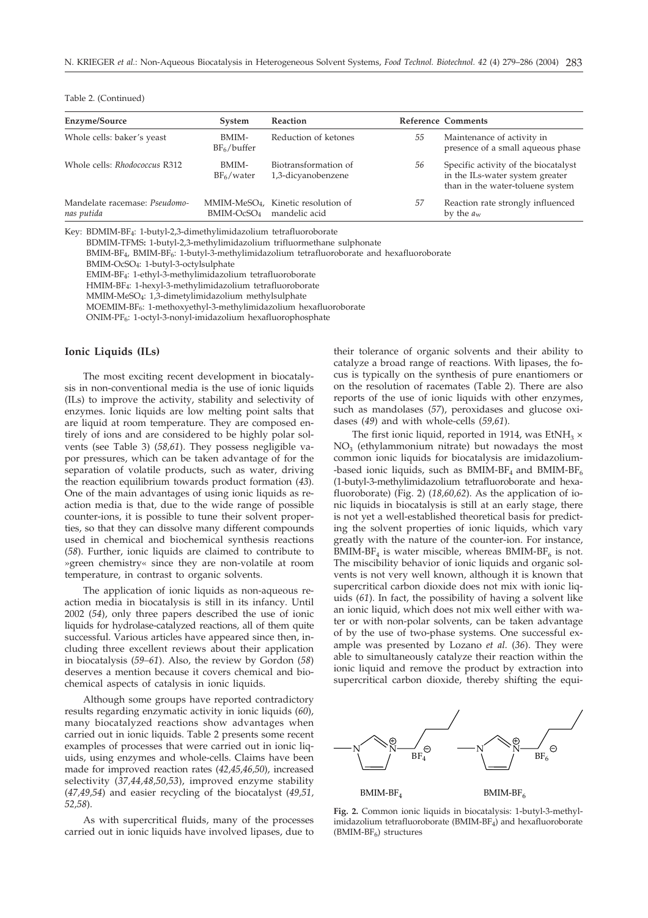#### Table 2. (Continued)

| Enzyme/Source                               | System                  | <b>Reaction</b>                                                 |    | Reference Comments                                                                                          |
|---------------------------------------------|-------------------------|-----------------------------------------------------------------|----|-------------------------------------------------------------------------------------------------------------|
| Whole cells: baker's yeast                  | BMIM-<br>$BF_6/b$ uffer | Reduction of ketones                                            | 55 | Maintenance of activity in<br>presence of a small aqueous phase                                             |
| Whole cells: Rhodococcus R312               | BMIM-<br>$BF_6$ /water  | Biotransformation of<br>1,3-dicyanobenzene                      | 56 | Specific activity of the biocatalyst<br>in the ILs-water system greater<br>than in the water-toluene system |
| Mandelate racemase: Pseudomo-<br>nas putida | BMIM-OcSO <sub>4</sub>  | MMIM-MeSO <sub>4</sub> , Kinetic resolution of<br>mandelic acid | 57 | Reaction rate strongly influenced<br>by the $a_w$                                                           |

Key: BDMIM-BF4: 1-butyl-2,3-dimethylimidazolium tetrafluoroborate

BDMIM-TFMS**:** 1-butyl-2,3-methylimidazolium trifluormethane sulphonate

BMIM-BF4, BMIM-BF6: 1-butyl-3-methylimidazolium tetrafluoroborate and hexafluoroborate

BMIM-OcSO4: 1-butyl-3-octylsulphate

EMIM-BF4: 1-ethyl-3-methylimidazolium tetrafluoroborate

HMIM-BF4: 1-hexyl-3-methylimidazolium tetrafluoroborate

MMIM-MeSO4: 1,3-dimetylimidazolium methylsulphate

MOEMIM-BF6: 1-methoxyethyl-3-methylimidazolium hexafluoroborate

ONIM-PF6: 1-octyl-3-nonyl-imidazolium hexafluorophosphate

# **Ionic Liquids (ILs)**

The most exciting recent development in biocatalysis in non-conventional media is the use of ionic liquids (ILs) to improve the activity, stability and selectivity of enzymes. Ionic liquids are low melting point salts that are liquid at room temperature. They are composed entirely of ions and are considered to be highly polar solvents (see Table 3) (*58,61*). They possess negligible vapor pressures, which can be taken advantage of for the separation of volatile products, such as water, driving the reaction equilibrium towards product formation (*43*). One of the main advantages of using ionic liquids as reaction media is that, due to the wide range of possible counter-ions, it is possible to tune their solvent properties, so that they can dissolve many different compounds used in chemical and biochemical synthesis reactions (*58*). Further, ionic liquids are claimed to contribute to »green chemistry« since they are non-volatile at room temperature, in contrast to organic solvents.

The application of ionic liquids as non-aqueous reaction media in biocatalysis is still in its infancy. Until 2002 (*54*), only three papers described the use of ionic liquids for hydrolase-catalyzed reactions, all of them quite successful. Various articles have appeared since then, including three excellent reviews about their application in biocatalysis (*59–61*). Also, the review by Gordon (*58*) deserves a mention because it covers chemical and biochemical aspects of catalysis in ionic liquids.

Although some groups have reported contradictory results regarding enzymatic activity in ionic liquids (*60*), many biocatalyzed reactions show advantages when carried out in ionic liquids. Table 2 presents some recent examples of processes that were carried out in ionic liquids, using enzymes and whole-cells. Claims have been made for improved reaction rates (*42,45,46,50*), increased selectivity (*37,44,48,50,53*), improved enzyme stability (*47,49,54*) and easier recycling of the biocatalyst (*49,51, 52,58*).

As with supercritical fluids, many of the processes carried out in ionic liquids have involved lipases, due to their tolerance of organic solvents and their ability to catalyze a broad range of reactions. With lipases, the focus is typically on the synthesis of pure enantiomers or on the resolution of racemates (Table 2). There are also reports of the use of ionic liquids with other enzymes, such as mandolases (*57*), peroxidases and glucose oxidases (*49*) and with whole-cells (*59,61*).

The first ionic liquid, reported in 1914, was  $EtNH<sub>3</sub>$  ×  $NO<sub>3</sub>$  (ethylammonium nitrate) but nowadays the most common ionic liquids for biocatalysis are imidazolium- -based ionic liquids, such as  $BMIM-BF<sub>4</sub>$  and  $BMIM-BF<sub>6</sub>$ (1-butyl-3-methylimidazolium tetrafluoroborate and hexafluoroborate) (Fig. 2) (*18,60,62*). As the application of ionic liquids in biocatalysis is still at an early stage, there is not yet a well-established theoretical basis for predicting the solvent properties of ionic liquids, which vary greatly with the nature of the counter-ion. For instance, BMIM-BF<sub>4</sub> is water miscible, whereas BMIM-BF<sub>6</sub> is not. The miscibility behavior of ionic liquids and organic solvents is not very well known, although it is known that supercritical carbon dioxide does not mix with ionic liquids (*61*). In fact, the possibility of having a solvent like an ionic liquid, which does not mix well either with water or with non-polar solvents, can be taken advantage of by the use of two-phase systems. One successful example was presented by Lozano *et al*. (*36*). They were able to simultaneously catalyze their reaction within the ionic liquid and remove the product by extraction into supercritical carbon dioxide, thereby shifting the equi-



**Fig. 2.** Common ionic liquids in biocatalysis: 1-butyl-3-methylimidazolium tetrafluoroborate (BMIM-BF4) and hexafluoroborate  $(BMIM-BF<sub>6</sub>)$  structures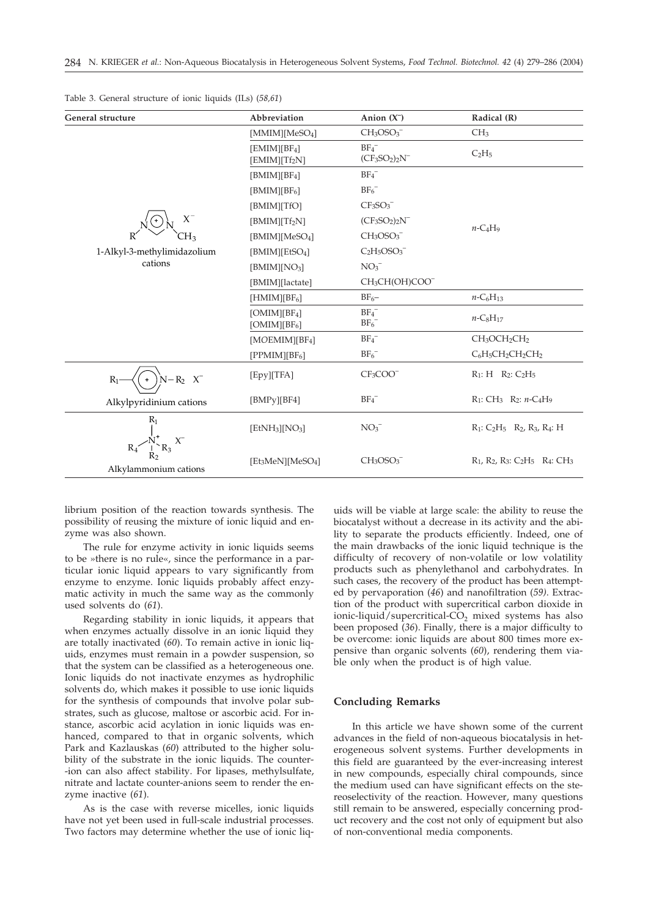| General structure           | Abbreviation                                         | Anion $(X)$                            | Radical (R)                                                             |
|-----------------------------|------------------------------------------------------|----------------------------------------|-------------------------------------------------------------------------|
|                             | [MMIM][MeSO <sub>4</sub> ]                           | $CH3OSO3-$                             | CH <sub>3</sub>                                                         |
|                             | $[EMIM][BF_4]$<br>$[EMIM][Tf_2N]$                    | $BF_4^-$<br>$(CF_3SO_2)_2N^-$          | C <sub>2</sub> H <sub>5</sub>                                           |
|                             | $[BMIM][BF_4]$                                       | $BF_4^-$                               |                                                                         |
|                             | [BMIM][BF <sub>6</sub> ]                             | $BF_6^-$                               |                                                                         |
|                             | [BMIM][TfO]                                          | $CF3SO3-$                              |                                                                         |
| $X^{-}$                     | $[BMIM][Tf_2N]$                                      | $(CF_3SO_2)_2N^-$                      | $n$ -C <sub>4</sub> H <sub>9</sub>                                      |
| $H_3$                       | [BMIM][MeSO <sub>4</sub> ]                           | $CH3OSO3-$                             |                                                                         |
| 1-Alkyl-3-methylimidazolium | [BMIM][EtSO <sub>4</sub> ]                           | $C_2H_5OSO_3^-$                        |                                                                         |
| cations                     | [BMIM][NO <sub>3</sub> ]                             | $NO3-$                                 |                                                                         |
|                             | [BMIM][lactate]                                      | CH <sub>3</sub> CH(OH)COO <sup>-</sup> |                                                                         |
|                             | [HMIM][BF <sub>6</sub> ]                             | $BF_{6}$ -                             | $n - C_6H_{13}$                                                         |
|                             | [OMIM][BF <sub>4</sub> ]<br>[OMIM][BF <sub>6</sub> ] | $BF_4^-$<br>$BF_6$                     | $n - C_8H_{17}$                                                         |
|                             | [MOEMIM][BF <sub>4</sub> ]                           | $BF_4^-$                               | CH <sub>3</sub> OCH <sub>2</sub> CH <sub>2</sub>                        |
|                             | [PPMIM][BF <sub>6</sub> ]                            | $BF_6^-$                               | $C_6H_5CH_2CH_2CH_2$                                                    |
| $N-R_2$ $X^-$<br>$R_1$      | [Epy][TFA]                                           | CF <sub>3</sub> COO <sup>-</sup>       | $R_1$ : H $R_2$ : $C_2H_5$                                              |
| Alkylpyridinium cations     | [BMPy][BF4]                                          | $BF_4^-$                               | $R_1$ : CH <sub>3</sub> $R_2$ : <i>n</i> -C <sub>4</sub> H <sub>9</sub> |
| $X^{-}$                     | [EtNH <sub>3</sub> ][NO <sub>3</sub> ]               | $NO3-$                                 | $R_1$ : $C_2H_5$ $R_2$ , $R_3$ , $R_4$ : H                              |
| Alkylammonium cations       | [Et3MeN][MeSO4]                                      | $CH3OSO3-$                             | $R_1$ , $R_2$ , $R_3$ : $C_2H_5$ $R_4$ : $CH_3$                         |

Table 3. General structure of ionic liquids (ILs) (*58,61*)

librium position of the reaction towards synthesis. The possibility of reusing the mixture of ionic liquid and enzyme was also shown.

The rule for enzyme activity in ionic liquids seems to be »there is no rule«, since the performance in a particular ionic liquid appears to vary significantly from enzyme to enzyme. Ionic liquids probably affect enzymatic activity in much the same way as the commonly used solvents do (*61*).

Regarding stability in ionic liquids, it appears that when enzymes actually dissolve in an ionic liquid they are totally inactivated (*60*). To remain active in ionic liquids, enzymes must remain in a powder suspension, so that the system can be classified as a heterogeneous one. Ionic liquids do not inactivate enzymes as hydrophilic solvents do, which makes it possible to use ionic liquids for the synthesis of compounds that involve polar substrates, such as glucose, maltose or ascorbic acid. For instance, ascorbic acid acylation in ionic liquids was enhanced, compared to that in organic solvents, which Park and Kazlauskas (*60*) attributed to the higher solubility of the substrate in the ionic liquids. The counter- -ion can also affect stability. For lipases, methylsulfate, nitrate and lactate counter-anions seem to render the enzyme inactive (*61*).

As is the case with reverse micelles, ionic liquids have not yet been used in full-scale industrial processes. Two factors may determine whether the use of ionic liquids will be viable at large scale: the ability to reuse the biocatalyst without a decrease in its activity and the ability to separate the products efficiently. Indeed, one of the main drawbacks of the ionic liquid technique is the difficulty of recovery of non-volatile or low volatility products such as phenylethanol and carbohydrates. In such cases, the recovery of the product has been attempted by pervaporation (*46*) and nanofiltration (*59)*. Extraction of the product with supercritical carbon dioxide in ionic-liquid/supercritical- $\overline{CO}$ <sub>2</sub> mixed systems has also been proposed (*36*). Finally, there is a major difficulty to be overcome: ionic liquids are about 800 times more expensive than organic solvents (*60*), rendering them viable only when the product is of high value.

### **Concluding Remarks**

In this article we have shown some of the current advances in the field of non-aqueous biocatalysis in heterogeneous solvent systems. Further developments in this field are guaranteed by the ever-increasing interest in new compounds, especially chiral compounds, since the medium used can have significant effects on the stereoselectivity of the reaction. However, many questions still remain to be answered, especially concerning product recovery and the cost not only of equipment but also of non-conventional media components.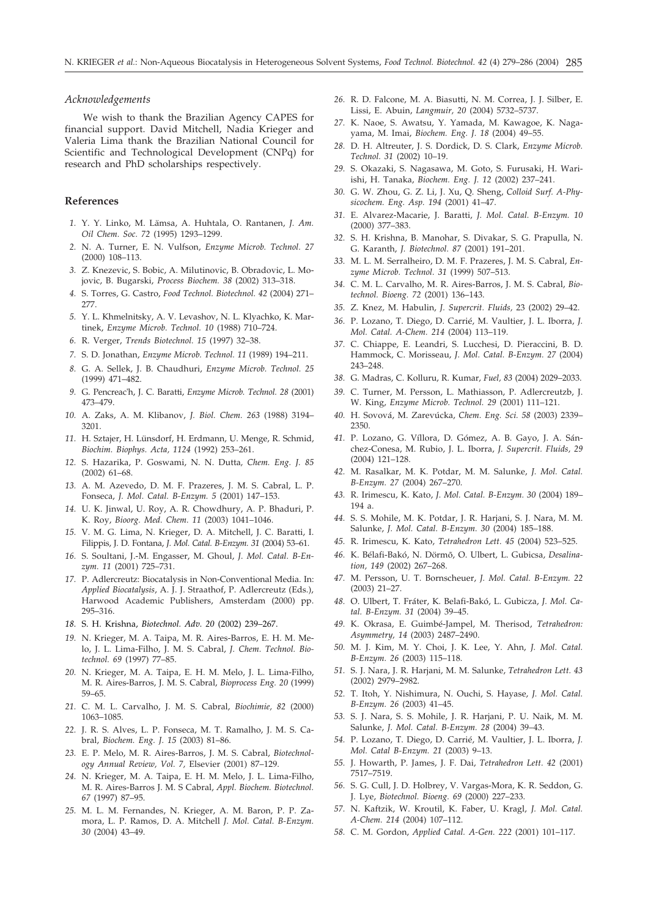#### *Acknowledgements*

We wish to thank the Brazilian Agency CAPES for financial support. David Mitchell, Nadia Krieger and Valeria Lima thank the Brazilian National Council for Scientific and Technological Development (CNPq) for research and PhD scholarships respectively.

#### **References**

- *1.* Y. Y. Linko, M. Lämsa, A. Huhtala, O. Rantanen, *J. Am. Oil Chem. Soc. 72* (1995) 1293–1299.
- *2.* N. A. Turner, E. N. Vulfson, *Enzyme Microb. Technol. 27* (2000) 108–113.
- *3.* Z. Knezevic, S. Bobic, A. Milutinovic, B. Obradovic, L. Mojovic, B. Bugarski, *Process Biochem. 38* (2002) 313–318.
- *4.* S. Torres, G. Castro, *Food Technol. Biotechnol. 42* (2004) 271– 277.
- *5.* Y. L. Khmelnitsky, A. V. Levashov, N. L. Klyachko, K. Martinek, *Enzyme Microb. Technol. 10* (1988) 710–724.
- *6.* R. Verger, *Trends Biotechnol. 15* (1997) 32–38.
- *7.* S. D. Jonathan, *Enzyme Microb. Technol. 11* (1989) 194–211.
- *8.* G. A. Sellek, J. B. Chaudhuri, *Enzyme Microb. Technol. 25* (1999) 471–482.
- *9.* G. Pencreac'h, J. C. Baratti, *Enzyme Microb. Technol. 28* (2001) 473–479.
- *10.* A. Zaks, A. M. Klibanov, *J. Biol. Chem. 263* (1988) 3194– 3201.
- *11.* H. Sztajer, H. Lünsdorf, H. Erdmann, U. Menge, R. Schmid, *Biochim. Biophys. Acta, 1124* (1992) 253–261.
- *12.* S. Hazarika, P. Goswami, N. N. Dutta*, Chem. Eng. J. 85* (2002) 61–68.
- *13.* A. M. Azevedo, D. M. F. Prazeres, J. M. S. Cabral, L. P. Fonseca, *J. Mol. Catal. B-Enzym. 5* (2001) 147–153.
- *14.* U. K. Jinwal, U. Roy, A. R. Chowdhury, A. P. Bhaduri, P. K. Roy, *Bioorg. Med. Chem. 11* (2003) 1041–1046.
- *15.* V. M. G. Lima, N. Krieger, D. A. Mitchell, J. C. Baratti, I. Filippis, J. D. Fontana, *J. Mol. Catal. B-Enzym. 31* (2004) 53–61.
- *16.* S. Soultani, J.-M. Engasser, M. Ghoul, *J. Mol. Catal. B-Enzym. 11* (2001) 725–731.
- *17.* P. Adlercreutz: Biocatalysis in Non-Conventional Media. In: *Applied Biocatalysis*, A. J. J. Straathof, P. Adlercreutz (Eds.), Harwood Academic Publishers, Amsterdam (2000) pp. 295–316.
- *18.* S. H. Krishna, *Biotechnol. Adv. 20* (2002) 239–267.
- *19.* N. Krieger, M. A. Taipa, M. R. Aires-Barros, E. H. M. Melo, J. L. Lima-Filho, J. M. S. Cabral, *J. Chem. Technol. Biotechnol. 69* (1997) 77–85.
- *20.* N. Krieger, M. A. Taipa, E. H. M. Melo, J. L. Lima-Filho, M. R. Aires-Barros, J. M. S. Cabral, *Bioprocess Eng. 20* (1999) 59–65.
- *21.* C. M. L. Carvalho, J. M. S. Cabral, *Biochimie, 82* (2000) 1063–1085.
- *22.* J. R. S. Alves, L. P. Fonseca, M. T. Ramalho, J. M. S. Cabral, *Biochem. Eng. J. 15* (2003) 81–86.
- *23.* E. P. Melo, M. R. Aires-Barros, J. M. S. Cabral, *Biotechnology Annual Review, Vol. 7,* Elsevier (2001) 87–129.
- *24.* N. Krieger, M. A. Taipa, E. H. M. Melo, J. L. Lima-Filho, M. R. Aires-Barros J. M. S Cabral, *Appl. Biochem. Biotechnol. 67* (1997) 87–95.
- *25.* M. L. M. Fernandes, N. Krieger, A. M. Baron, P. P. Zamora, L. P. Ramos, D. A. Mitchell *J. Mol. Catal. B-Enzym. 30* (2004) 43–49.
- *26.* R. D. Falcone, M. A. Biasutti, N. M. Correa, J. J. Silber, E. Lissi, E. Abuin, *Langmuir, 20* (2004) 5732–5737.
- *27.* K. Naoe, S. Awatsu, Y. Yamada, M. Kawagoe, K. Nagayama, M. Imai, *Biochem. Eng. J. 18* (2004) 49–55.
- *28.* D. H. Altreuter, J. S. Dordick, D. S. Clark, *Enzyme Microb. Technol. 31* (2002) 10–19.
- *29.* S. Okazaki, S. Nagasawa, M. Goto, S. Furusaki, H. Wariishi, H. Tanaka, *Biochem. Eng. J. 12* (2002) 237–241.
- *30.* G. W. Zhou, G. Z. Li, J. Xu, Q. Sheng, *Colloid Surf. A-Physicochem. Eng. Asp. 194* (2001) 41–47.
- *31.* E. Alvarez-Macarie, J. Baratti, *J. Mol. Catal. B-Enzym. 10* (2000) 377–383.
- *32.* S. H. Krishna, B. Manohar, S. Divakar, S. G. Prapulla, N. G. Karanth, *J. Biotechnol. 87* (2001) 191–201.
- *33.* M. L. M. Serralheiro, D. M. F. Prazeres, J. M. S. Cabral, *Enzyme Microb. Technol. 31* (1999) 507–513.
- *34.* C. M. L. Carvalho, M. R. Aires-Barros, J. M. S. Cabral, *Biotechnol. Bioeng. 72* (2001) 136–143.
- *35.* Z. Knez, M. Habulin, *J. Supercrit. Fluids,* 23 (2002) 29–42.
- *36.* P. Lozano, T. Diego, D. Carrié, M. Vaultier, J. L. Iborra, *J. Mol. Catal. A-Chem. 214* (2004) 113–119.
- *37.* C. Chiappe, E. Leandri, S. Lucchesi, D. Pieraccini, B. D. Hammock, C. Morisseau, *J. Mol. Catal. B-Enzym. 27* (2004) 243–248.
- *38.* G. Madras, C. Kolluru, R. Kumar, *Fuel, 83* (2004) 2029–2033.
- *39.* C. Turner, M. Persson, L. Mathiasson, P. Adlercreutzb, J. W. King, *Enzyme Microb. Technol. 29* (2001) 111–121.
- *40.* H. Sovová, M. Zarevúcka, *Chem. Eng. Sci. 58* (2003) 2339– 2350.
- *41.* P. Lozano, G. Víllora, D. Gómez, A. B. Gayo, J. A. Sánchez-Conesa, M. Rubio, J. L. Iborra, *J. Supercrit. Fluids, 29* (2004) 121–128.
- *42.* M. Rasalkar, M. K. Potdar, M. M. Salunke, *J. Mol. Catal. B-Enzym. 27* (2004) 267–270.
- *43.* R. Irimescu, K. Kato, *J. Mol. Catal. B-Enzym. 30* (2004) 189– 194 a.
- *44.* S. S. Mohile, M. K. Potdar, J. R. Harjani, S. J. Nara, M. M. Salunke, *J. Mol. Catal. B-Enzym. 30* (2004) 185–188.
- *45.* R. Irimescu, K. Kato, *Tetrahedron Lett. 45* (2004) 523–525.
- *46.* K. Bélafi-Bakó, N. Dörmõ, O. Ulbert, L. Gubicsa, *Desalination, 149* (2002) 267–268.
- *47.* M. Persson, U. T. Bornscheuer, *J. Mol. Catal. B-Enzym. 22* (2003) 21–27.
- *48.* O. Ulbert, T. Fráter, K. Belafi-Bakó, L. Gubicza, *J. Mol. Catal. B-Enzym. 31* (2004) 39–45.
- *49.* K. Okrasa, E. Guimbé-Jampel, M. Therisod, *Tetrahedron: Asymmetry, 14* (2003) 2487–2490.
- *50.* M. J. Kim, M. Y. Choi, J. K. Lee, Y. Ahn, *J. Mol. Catal. B-Enzym. 26* (2003) 115–118.
- *51.* S. J. Nara, J. R. Harjani, M. M. Salunke, *Tetrahedron Lett. 43* (2002) 2979–2982.
- *52.* T. Itoh, Y. Nishimura, N. Ouchi, S. Hayase, *J. Mol. Catal. B-Enzym. 26* (2003) 41–45.
- *53.* S. J. Nara, S. S. Mohile, J. R. Harjani, P. U. Naik, M. M. Salunke, *J. Mol. Catal. B-Enzym. 28* (2004) 39–43.
- *54.* P. Lozano, T. Diego, D. Carrié, M. Vaultier, J. L. Iborra, *J. Mol. Catal B-Enzym. 21* (2003) 9–13.
- *55.* J. Howarth, P. James, J. F. Dai, *Tetrahedron Lett. 42* (2001) 7517–7519.
- *56.* S. G. Cull, J. D. Holbrey, V. Vargas-Mora, K. R. Seddon, G. J. Lye, *Biotechnol. Bioeng. 69* (2000) 227–233.
- *57.* N. Kaftzik, W. Kroutil, K. Faber, U. Kragl, *J. Mol. Catal. A-Chem. 214* (2004) 107–112.
- *58.* C. M. Gordon, *Applied Catal. A-Gen. 222* (2001) 101–117.